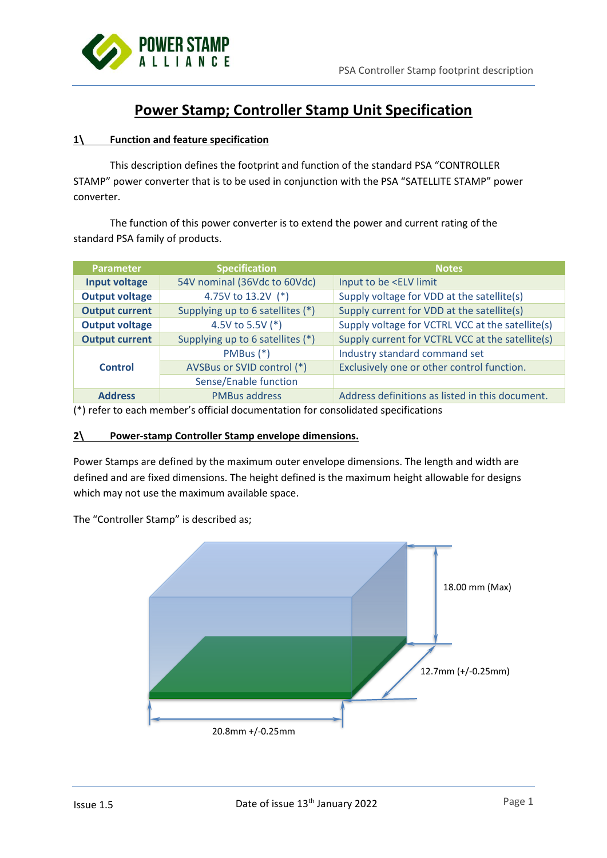

# **Power Stamp; Controller Stamp Unit Specification**

# **1\ Function and feature specification**

This description defines the footprint and function of the standard PSA "CONTROLLER STAMP" power converter that is to be used in conjunction with the PSA "SATELLITE STAMP" power converter.

The function of this power converter is to extend the power and current rating of the standard PSA family of products.

| <b>Parameter</b>                                          | <b>Specification</b>         | Notes                                            |  |  |
|-----------------------------------------------------------|------------------------------|--------------------------------------------------|--|--|
| Input voltage                                             | 54V nominal (36Vdc to 60Vdc) | Input to be <elv limit<="" th=""></elv>          |  |  |
| <b>Output voltage</b><br>4.75V to 13.2V (*)               |                              | Supply voltage for VDD at the satellite(s)       |  |  |
| Supplying up to 6 satellites (*)<br><b>Output current</b> |                              | Supply current for VDD at the satellite(s)       |  |  |
| <b>Output voltage</b>                                     | 4.5V to 5.5V (*)             | Supply voltage for VCTRL VCC at the satellite(s) |  |  |
| Supplying up to 6 satellites (*)<br><b>Output current</b> |                              | Supply current for VCTRL VCC at the satellite(s) |  |  |
|                                                           | $PMBus (*)$                  | Industry standard command set                    |  |  |
| <b>Control</b>                                            | AVSBus or SVID control (*)   | Exclusively one or other control function.       |  |  |
|                                                           | Sense/Enable function        |                                                  |  |  |
| <b>PMBus address</b><br><b>Address</b>                    |                              | Address definitions as listed in this document.  |  |  |

(\*) refer to each member's official documentation for consolidated specifications

# **2\ Power-stamp Controller Stamp envelope dimensions.**

Power Stamps are defined by the maximum outer envelope dimensions. The length and width are defined and are fixed dimensions. The height defined is the maximum height allowable for designs which may not use the maximum available space.

The "Controller Stamp" is described as;

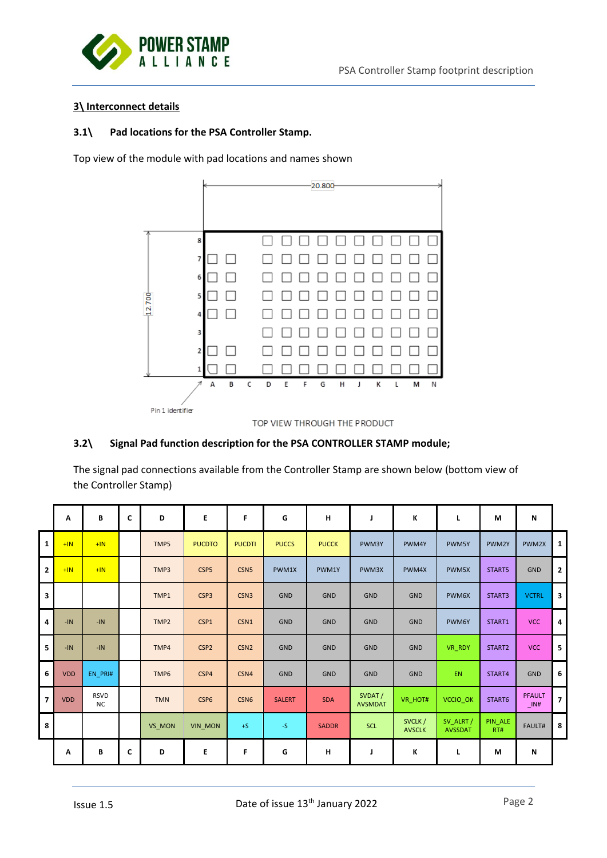

# **3\ Interconnect details**

### **3.1\ Pad locations for the PSA Controller Stamp.**

Top view of the module with pad locations and names shown



# **3.2\ Signal Pad function description for the PSA CONTROLLER STAMP module;**

The signal pad connections available from the Controller Stamp are shown below (bottom view of the Controller Stamp)

|                         | A          | B                        | C | D          | E                | F                | G             | н            | J                        | К                       | г                           | М              | N                           |                         |
|-------------------------|------------|--------------------------|---|------------|------------------|------------------|---------------|--------------|--------------------------|-------------------------|-----------------------------|----------------|-----------------------------|-------------------------|
| $\mathbf{1}$            | $+IN$      | $+IN$                    |   | TMP5       | <b>PUCDTO</b>    | <b>PUCDTI</b>    | <b>PUCCS</b>  | <b>PUCCK</b> | PWM3Y                    | PWM4Y                   | PWM5Y                       | PWM2Y          | PWM2X                       | $\mathbf{1}$            |
| $\mathbf{2}$            | $+IN$      | $+IN$                    |   | TMP3       | CSP5             | CSN <sub>5</sub> | PWM1X         | PWM1Y        | PWM3X                    | PWM4X                   | PWM5X                       | START5         | <b>GND</b>                  | $\overline{2}$          |
| 3                       |            |                          |   | TMP1       | CSP3             | CSN <sub>3</sub> | <b>GND</b>    | <b>GND</b>   | GND                      | <b>GND</b>              | PWM6X                       | START3         | <b>VCTRL</b>                | $\overline{\mathbf{3}}$ |
| 4                       | $-IN$      | $-IN$                    |   | TMP2       | CSP1             | CSN1             | <b>GND</b>    | <b>GND</b>   | GND                      | <b>GND</b>              | PWM6Y                       | START1         | <b>VCC</b>                  | 4                       |
| 5                       | $-IN$      | $-IN$                    |   | TMP4       | CSP <sub>2</sub> | CSN <sub>2</sub> | <b>GND</b>    | <b>GND</b>   | GND                      | <b>GND</b>              | VR RDY                      | START2         | <b>VCC</b>                  | 5                       |
| 6                       | <b>VDD</b> | EN PRI#                  |   | TMP6       | CSP4             | CSN4             | <b>GND</b>    | <b>GND</b>   | GND                      | <b>GND</b>              | <b>EN</b>                   | START4         | <b>GND</b>                  | 6                       |
| $\overline{\mathbf{z}}$ | <b>VDD</b> | <b>RSVD</b><br><b>NC</b> |   | <b>TMN</b> | CSP <sub>6</sub> | CSN <sub>6</sub> | <b>SALERT</b> | <b>SDA</b>   | SVDAT/<br><b>AVSMDAT</b> | VR HOT#                 | VCCIO_OK                    | START6         | <b>PFAULT</b><br>$\Box$ IN# | $\overline{7}$          |
| 8                       |            |                          |   | VS MON     | <b>VIN MON</b>   | $+S$             | $-S$          | <b>SADDR</b> | <b>SCL</b>               | SVCLK/<br><b>AVSCLK</b> | SV ALRT /<br><b>AVSSDAT</b> | PIN ALE<br>RT# | <b>FAULT#</b>               | 8                       |
|                         | Α          | В                        | C | D          | E                | F                | G             | н            | J                        | К                       | г                           | М              | N                           |                         |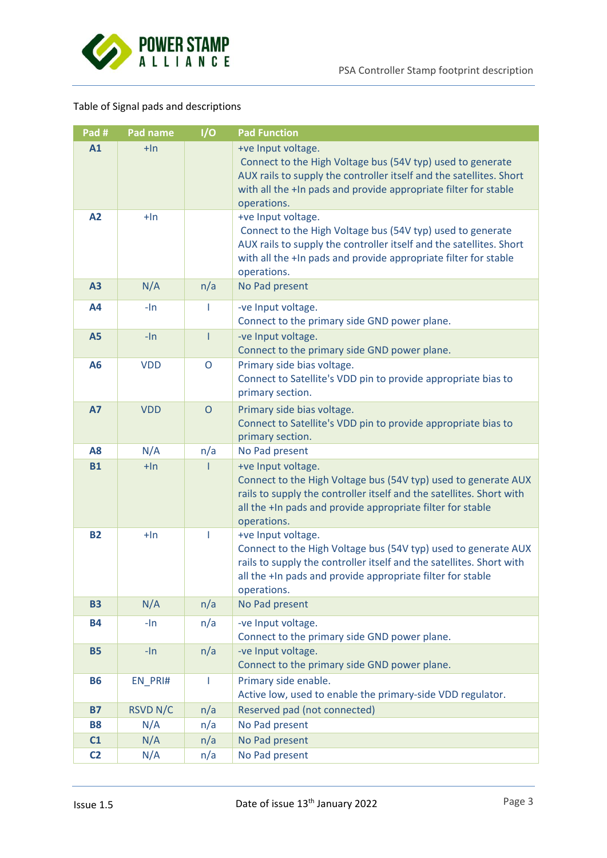

# Table of Signal pads and descriptions

| Pad #          | Pad name        | I/O          | <b>Pad Function</b>                                                                                                                                                                                                                       |  |
|----------------|-----------------|--------------|-------------------------------------------------------------------------------------------------------------------------------------------------------------------------------------------------------------------------------------------|--|
| A1             | $+$ In          |              | +ve Input voltage.<br>Connect to the High Voltage bus (54V typ) used to generate<br>AUX rails to supply the controller itself and the satellites. Short<br>with all the +In pads and provide appropriate filter for stable<br>operations. |  |
| A2             | $+$ In          |              | +ve Input voltage.<br>Connect to the High Voltage bus (54V typ) used to generate<br>AUX rails to supply the controller itself and the satellites. Short<br>with all the +In pads and provide appropriate filter for stable<br>operations. |  |
| A3             | N/A             | n/a          | No Pad present                                                                                                                                                                                                                            |  |
| A4             | $-1n$           | I.           | -ve Input voltage.<br>Connect to the primary side GND power plane.                                                                                                                                                                        |  |
| <b>A5</b>      | $-ln$           | $\mathbf{I}$ | -ve Input voltage.<br>Connect to the primary side GND power plane.                                                                                                                                                                        |  |
| A6             | <b>VDD</b>      | $\mathsf O$  | Primary side bias voltage.<br>Connect to Satellite's VDD pin to provide appropriate bias to<br>primary section.                                                                                                                           |  |
| <b>A7</b>      | <b>VDD</b>      | $\mathsf{O}$ | Primary side bias voltage.<br>Connect to Satellite's VDD pin to provide appropriate bias to<br>primary section.                                                                                                                           |  |
| A <sub>8</sub> | N/A             | n/a          | No Pad present                                                                                                                                                                                                                            |  |
| <b>B1</b>      | $+$ In          |              | +ve Input voltage.<br>Connect to the High Voltage bus (54V typ) used to generate AUX<br>rails to supply the controller itself and the satellites. Short with<br>all the +In pads and provide appropriate filter for stable<br>operations. |  |
| <b>B2</b>      | $+$ In          |              | +ve Input voltage.<br>Connect to the High Voltage bus (54V typ) used to generate AUX<br>rails to supply the controller itself and the satellites. Short with<br>all the +In pads and provide appropriate filter for stable<br>operations. |  |
| <b>B3</b>      | N/A             | n/a          | No Pad present                                                                                                                                                                                                                            |  |
| <b>B4</b>      | $-ln$           | n/a          | -ve Input voltage.<br>Connect to the primary side GND power plane.                                                                                                                                                                        |  |
| <b>B5</b>      | $-ln$           | n/a          | -ve Input voltage.<br>Connect to the primary side GND power plane.                                                                                                                                                                        |  |
| <b>B6</b>      | EN_PRI#         | L            | Primary side enable.<br>Active low, used to enable the primary-side VDD regulator.                                                                                                                                                        |  |
| <b>B7</b>      | <b>RSVD N/C</b> | n/a          | Reserved pad (not connected)                                                                                                                                                                                                              |  |
| <b>B8</b>      | N/A             | n/a          | No Pad present                                                                                                                                                                                                                            |  |
| C1             | N/A             | n/a          | No Pad present                                                                                                                                                                                                                            |  |
| C <sub>2</sub> | N/A             | n/a          | No Pad present                                                                                                                                                                                                                            |  |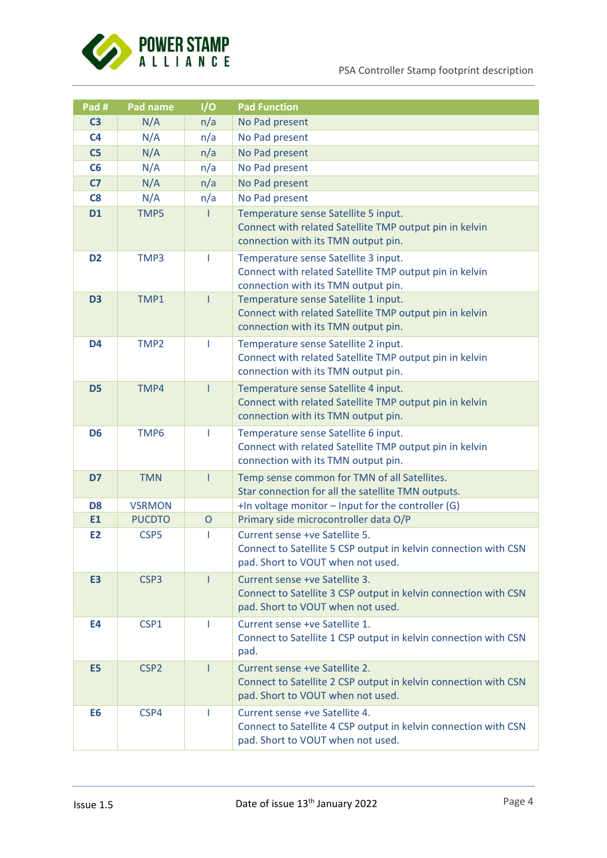

PSA Controller Stamp footprint description

| Pad #          | Pad name         | I/O          | <b>Pad Function</b>                                                                                                                    |  |
|----------------|------------------|--------------|----------------------------------------------------------------------------------------------------------------------------------------|--|
| C <sub>3</sub> | N/A              | n/a          | No Pad present                                                                                                                         |  |
| C <sub>4</sub> | N/A              | n/a          | No Pad present                                                                                                                         |  |
| C <sub>5</sub> | N/A              | n/a          | No Pad present                                                                                                                         |  |
| C6             | N/A              | n/a          | No Pad present                                                                                                                         |  |
| C <sub>7</sub> | N/A              | n/a          | No Pad present                                                                                                                         |  |
| C8             | N/A              | n/a          | No Pad present                                                                                                                         |  |
| <b>D1</b>      | TMP5             |              | Temperature sense Satellite 5 input.<br>Connect with related Satellite TMP output pin in kelvin<br>connection with its TMN output pin. |  |
| D <sub>2</sub> | TMP3             | T            | Temperature sense Satellite 3 input.<br>Connect with related Satellite TMP output pin in kelvin<br>connection with its TMN output pin. |  |
| D <sub>3</sub> | TMP1             | ı            | Temperature sense Satellite 1 input.<br>Connect with related Satellite TMP output pin in kelvin<br>connection with its TMN output pin. |  |
| D <sub>4</sub> | TMP <sub>2</sub> | T            | Temperature sense Satellite 2 input.<br>Connect with related Satellite TMP output pin in kelvin<br>connection with its TMN output pin. |  |
| D <sub>5</sub> | TMP4             | T            | Temperature sense Satellite 4 input.<br>Connect with related Satellite TMP output pin in kelvin<br>connection with its TMN output pin. |  |
| D <sub>6</sub> | TMP6             | L            | Temperature sense Satellite 6 input.<br>Connect with related Satellite TMP output pin in kelvin<br>connection with its TMN output pin. |  |
| D7             | <b>TMN</b>       | I            | Temp sense common for TMN of all Satellites.<br>Star connection for all the satellite TMN outputs.                                     |  |
| D <sub>8</sub> | <b>VSRMON</b>    |              | $+$ In voltage monitor $-$ Input for the controller (G)                                                                                |  |
| E1             | <b>PUCDTO</b>    | $\mathsf{O}$ | Primary side microcontroller data O/P                                                                                                  |  |
| E <sub>2</sub> | CSP <sub>5</sub> | T            | Current sense +ve Satellite 5.<br>Connect to Satellite 5 CSP output in kelvin connection with CSN<br>pad. Short to VOUT when not used. |  |
| E3             | CSP <sub>3</sub> | T            | Current sense +ve Satellite 3.<br>Connect to Satellite 3 CSP output in kelvin connection with CSN<br>pad. Short to VOUT when not used. |  |
| E4             | CSP1             | ı.           | Current sense +ve Satellite 1.<br>Connect to Satellite 1 CSP output in kelvin connection with CSN<br>pad.                              |  |
| E <sub>5</sub> | CSP <sub>2</sub> | $\mathbf{I}$ | Current sense +ve Satellite 2.<br>Connect to Satellite 2 CSP output in kelvin connection with CSN<br>pad. Short to VOUT when not used. |  |
| E6             | CSP4             | 1            | Current sense +ve Satellite 4.<br>Connect to Satellite 4 CSP output in kelvin connection with CSN<br>pad. Short to VOUT when not used. |  |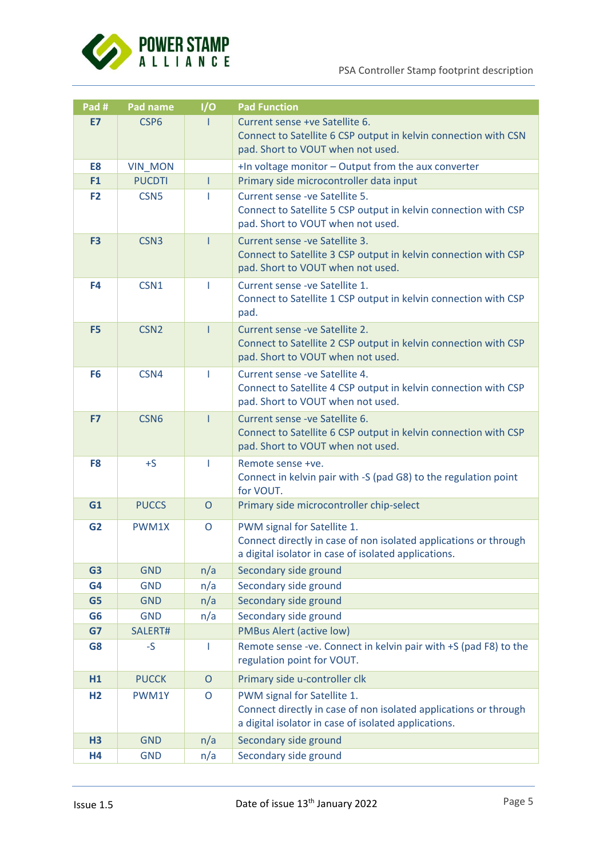

| Pad #          | Pad name         | 1/O          | <b>Pad Function</b>                                                                                                                                     |  |
|----------------|------------------|--------------|---------------------------------------------------------------------------------------------------------------------------------------------------------|--|
| E7             | CSP <sub>6</sub> |              | Current sense +ve Satellite 6.<br>Connect to Satellite 6 CSP output in kelvin connection with CSN<br>pad. Short to VOUT when not used.                  |  |
| E8             | <b>VIN_MON</b>   |              | +In voltage monitor - Output from the aux converter                                                                                                     |  |
| F <sub>1</sub> | <b>PUCDTI</b>    | T            | Primary side microcontroller data input                                                                                                                 |  |
| F <sub>2</sub> | CSN <sub>5</sub> | T            | Current sense - ve Satellite 5.<br>Connect to Satellite 5 CSP output in kelvin connection with CSP<br>pad. Short to VOUT when not used.                 |  |
| F <sub>3</sub> | CSN <sub>3</sub> |              | Current sense - ve Satellite 3.<br>Connect to Satellite 3 CSP output in kelvin connection with CSP<br>pad. Short to VOUT when not used.                 |  |
| F4             | CSN1             |              | Current sense - ve Satellite 1.<br>Connect to Satellite 1 CSP output in kelvin connection with CSP<br>pad.                                              |  |
| F <sub>5</sub> | CSN <sub>2</sub> | L            | Current sense - ve Satellite 2.<br>Connect to Satellite 2 CSP output in kelvin connection with CSP<br>pad. Short to VOUT when not used.                 |  |
| F <sub>6</sub> | CSN4             | I.           | Current sense - ve Satellite 4.<br>Connect to Satellite 4 CSP output in kelvin connection with CSP<br>pad. Short to VOUT when not used.                 |  |
| F7             | CSN <sub>6</sub> | T            | Current sense - ve Satellite 6.<br>Connect to Satellite 6 CSP output in kelvin connection with CSP<br>pad. Short to VOUT when not used.                 |  |
| F <sub>8</sub> | $+S$             | Т            | Remote sense +ve.<br>Connect in kelvin pair with -S (pad G8) to the regulation point<br>for VOUT.                                                       |  |
| G1             | <b>PUCCS</b>     | $\circ$      | Primary side microcontroller chip-select                                                                                                                |  |
| G <sub>2</sub> | PWM1X            | O            | PWM signal for Satellite 1.<br>Connect directly in case of non isolated applications or through<br>a digital isolator in case of isolated applications. |  |
| G <sub>3</sub> | <b>GND</b>       | n/a          | Secondary side ground                                                                                                                                   |  |
| G <sub>4</sub> | <b>GND</b>       | n/a          | Secondary side ground                                                                                                                                   |  |
| G <sub>5</sub> | <b>GND</b>       | n/a          | Secondary side ground                                                                                                                                   |  |
| G <sub>6</sub> | <b>GND</b>       | n/a          | Secondary side ground                                                                                                                                   |  |
| G7             | SALERT#          |              | <b>PMBus Alert (active low)</b>                                                                                                                         |  |
| G <sub>8</sub> | $-S$             | L            | Remote sense -ve. Connect in kelvin pair with +S (pad F8) to the<br>regulation point for VOUT.                                                          |  |
| H1             | <b>PUCCK</b>     | $\mathsf{O}$ | Primary side u-controller clk                                                                                                                           |  |
| H <sub>2</sub> | PWM1Y            | $\mathsf O$  | PWM signal for Satellite 1.<br>Connect directly in case of non isolated applications or through<br>a digital isolator in case of isolated applications. |  |
| H3             | <b>GND</b>       | n/a          | Secondary side ground                                                                                                                                   |  |
| H <sub>4</sub> | <b>GND</b>       | n/a          | Secondary side ground                                                                                                                                   |  |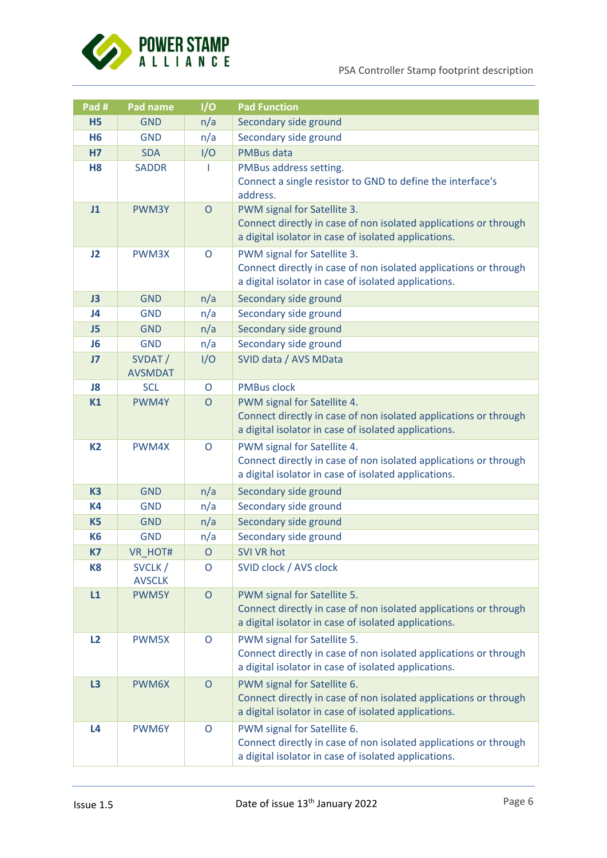

| Pad #          | Pad name                 | 1/O            | <b>Pad Function</b>                                                                                                                                     |  |
|----------------|--------------------------|----------------|---------------------------------------------------------------------------------------------------------------------------------------------------------|--|
| <b>H5</b>      | <b>GND</b>               | n/a            | Secondary side ground                                                                                                                                   |  |
| H <sub>6</sub> | <b>GND</b>               | n/a            | Secondary side ground                                                                                                                                   |  |
| <b>H7</b>      | <b>SDA</b>               | I/O            | <b>PMBus data</b>                                                                                                                                       |  |
| H <sub>8</sub> | <b>SADDR</b>             |                | PMBus address setting.<br>Connect a single resistor to GND to define the interface's<br>address.                                                        |  |
| J1             | PWM3Y                    | $\circ$        | PWM signal for Satellite 3.<br>Connect directly in case of non isolated applications or through<br>a digital isolator in case of isolated applications. |  |
| J2             | PWM3X                    | O              | PWM signal for Satellite 3.<br>Connect directly in case of non isolated applications or through<br>a digital isolator in case of isolated applications. |  |
| J3             | <b>GND</b>               | n/a            | Secondary side ground                                                                                                                                   |  |
| J4             | <b>GND</b>               | n/a            | Secondary side ground                                                                                                                                   |  |
| J5             | <b>GND</b>               | n/a            | Secondary side ground                                                                                                                                   |  |
| J <sub>6</sub> | <b>GND</b>               | n/a            | Secondary side ground                                                                                                                                   |  |
| J <sub>7</sub> | SVDAT/<br><b>AVSMDAT</b> | I/O            | SVID data / AVS MData                                                                                                                                   |  |
| J8             | <b>SCL</b>               | $\circ$        | <b>PMBus clock</b>                                                                                                                                      |  |
| K1             | PWM4Y                    | $\overline{O}$ | PWM signal for Satellite 4.<br>Connect directly in case of non isolated applications or through<br>a digital isolator in case of isolated applications. |  |
| <b>K2</b>      | PWM4X                    | O              | PWM signal for Satellite 4.<br>Connect directly in case of non isolated applications or through<br>a digital isolator in case of isolated applications. |  |
| K <sub>3</sub> | <b>GND</b>               | n/a            | Secondary side ground                                                                                                                                   |  |
| <b>K4</b>      | <b>GND</b>               | n/a            | Secondary side ground                                                                                                                                   |  |
| K <sub>5</sub> | <b>GND</b>               | n/a            | Secondary side ground                                                                                                                                   |  |
| <b>K6</b>      | <b>GND</b>               | n/a            | Secondary side ground                                                                                                                                   |  |
| K7             | VR_HOT#                  | $\circ$        | <b>SVI VR hot</b>                                                                                                                                       |  |
| K <sub>8</sub> | SVCLK/<br><b>AVSCLK</b>  | O              | SVID clock / AVS clock                                                                                                                                  |  |
| L1             | PWM5Y                    | $\mathsf{O}$   | PWM signal for Satellite 5.<br>Connect directly in case of non isolated applications or through<br>a digital isolator in case of isolated applications. |  |
| L2             | PWM5X                    | O              | PWM signal for Satellite 5.<br>Connect directly in case of non isolated applications or through<br>a digital isolator in case of isolated applications. |  |
| L3             | PWM6X                    | $\circ$        | PWM signal for Satellite 6.<br>Connect directly in case of non isolated applications or through<br>a digital isolator in case of isolated applications. |  |
| L <sub>4</sub> | PWM6Y                    | O              | PWM signal for Satellite 6.<br>Connect directly in case of non isolated applications or through<br>a digital isolator in case of isolated applications. |  |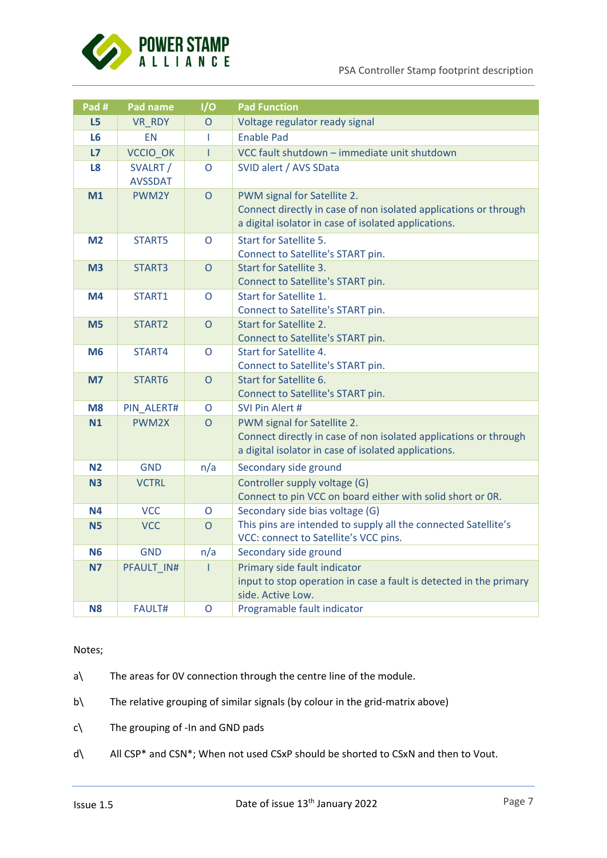

| Pad #          | Pad name                   | I/O            | <b>Pad Function</b>                                                                                                                                     |  |
|----------------|----------------------------|----------------|---------------------------------------------------------------------------------------------------------------------------------------------------------|--|
| L <sub>5</sub> | VR_RDY                     | $\overline{O}$ | Voltage regulator ready signal                                                                                                                          |  |
| L <sub>6</sub> | <b>EN</b>                  | T              | <b>Enable Pad</b>                                                                                                                                       |  |
| L7             | VCCIO_OK                   | $\mathbf{I}$   | VCC fault shutdown - immediate unit shutdown                                                                                                            |  |
| L8             | SVALRT /<br><b>AVSSDAT</b> | O              | SVID alert / AVS SData                                                                                                                                  |  |
| M1             | PWM2Y                      | $\overline{O}$ | PWM signal for Satellite 2.<br>Connect directly in case of non isolated applications or through<br>a digital isolator in case of isolated applications. |  |
| M <sub>2</sub> | START5                     | $\Omega$       | Start for Satellite 5.<br>Connect to Satellite's START pin.                                                                                             |  |
| M <sub>3</sub> | START3                     | $\overline{O}$ | <b>Start for Satellite 3.</b><br>Connect to Satellite's START pin.                                                                                      |  |
| M4             | START1                     | $\overline{O}$ | Start for Satellite 1.<br>Connect to Satellite's START pin.                                                                                             |  |
| M <sub>5</sub> | START2                     | $\overline{O}$ | Start for Satellite 2.<br>Connect to Satellite's START pin.                                                                                             |  |
| M <sub>6</sub> | START4                     | O              | Start for Satellite 4.<br>Connect to Satellite's START pin.                                                                                             |  |
| M <sub>7</sub> | START6                     | $\overline{O}$ | Start for Satellite 6.<br>Connect to Satellite's START pin.                                                                                             |  |
| M <sub>8</sub> | PIN ALERT#                 | $\overline{O}$ | SVI Pin Alert #                                                                                                                                         |  |
| N1             | PWM2X                      | $\overline{O}$ | PWM signal for Satellite 2.<br>Connect directly in case of non isolated applications or through<br>a digital isolator in case of isolated applications. |  |
| N <sub>2</sub> | <b>GND</b>                 | n/a            | Secondary side ground                                                                                                                                   |  |
| N <sub>3</sub> | <b>VCTRL</b>               |                | Controller supply voltage (G)<br>Connect to pin VCC on board either with solid short or OR.                                                             |  |
| <b>N4</b>      | <b>VCC</b>                 | $\mathsf{O}$   | Secondary side bias voltage (G)                                                                                                                         |  |
| <b>N5</b>      | <b>VCC</b>                 | $\overline{O}$ | This pins are intended to supply all the connected Satellite's<br>VCC: connect to Satellite's VCC pins.                                                 |  |
| <b>N6</b>      | <b>GND</b>                 | n/a            | Secondary side ground                                                                                                                                   |  |
| <b>N7</b>      | PFAULT IN#                 | $\mathbf{I}$   | Primary side fault indicator<br>input to stop operation in case a fault is detected in the primary<br>side. Active Low.                                 |  |
| <b>N8</b>      | <b>FAULT#</b>              | O              | Programable fault indicator                                                                                                                             |  |

Notes;

- a\ The areas for 0V connection through the centre line of the module.
- b\ The relative grouping of similar signals (by colour in the grid-matrix above)
- c\ The grouping of -In and GND pads
- d\ All CSP\* and CSN\*; When not used CSxP should be shorted to CSxN and then to Vout.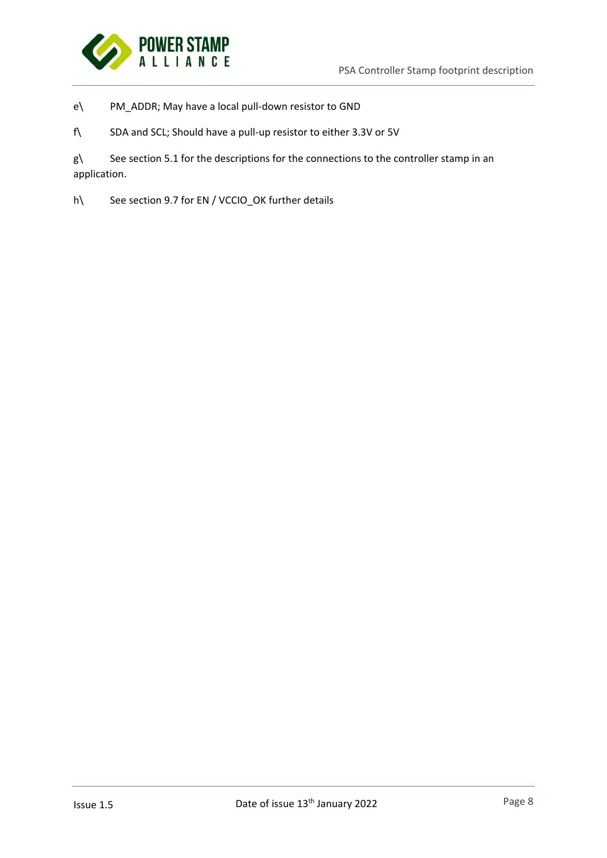

e\ PM\_ADDR; May have a local pull-down resistor to GND

f\ SDA and SCL; Should have a pull-up resistor to either 3.3V or 5V

g\ See section 5.1 for the descriptions for the connections to the controller stamp in an application.

h\ See section 9.7 for EN / VCCIO\_OK further details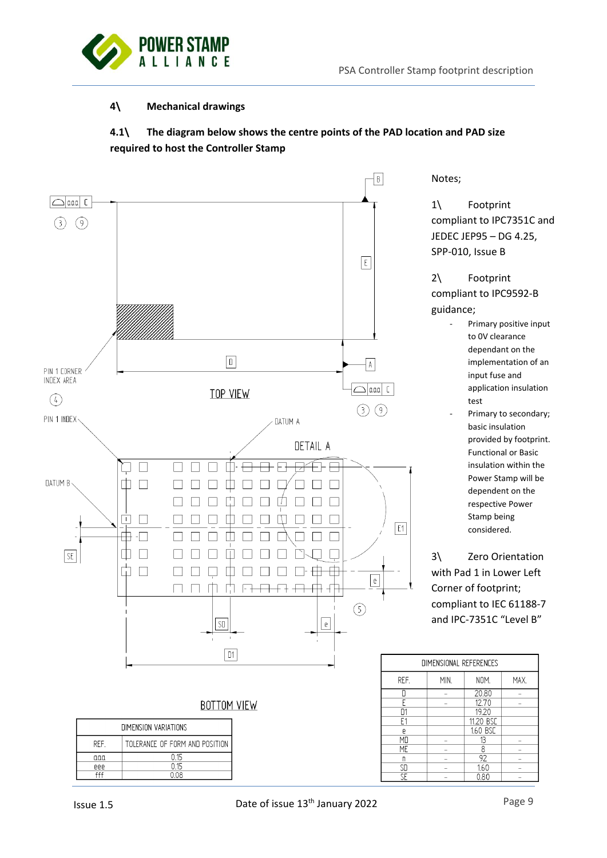

# **4\ Mechanical drawings**



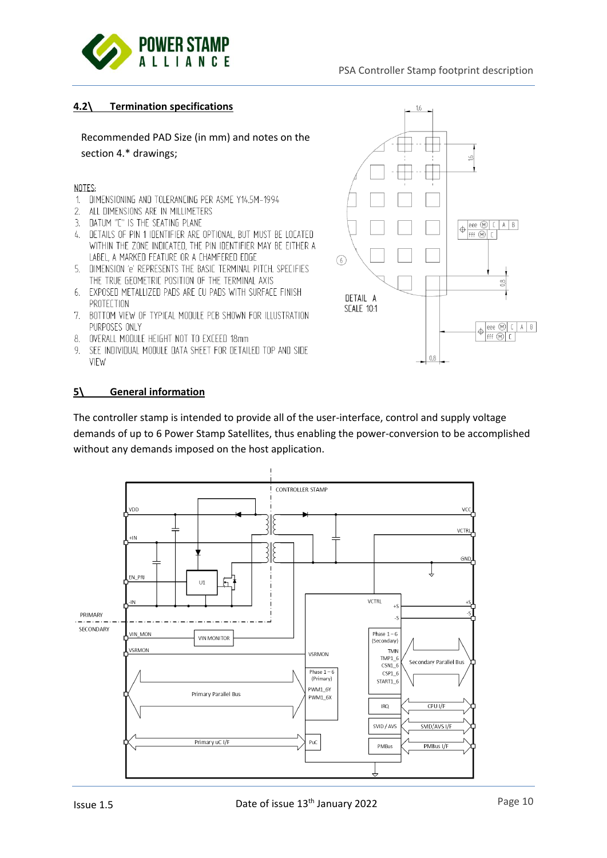

# **4.2\ Termination specifications**

Recommended PAD Size (in mm) and notes on the section 4.\* drawings;

#### NOTES:

- 1. DIMENSIONING AND TOLERANCING PER ASME Y14.5M-1994
- $2.$ ALL DIMENSIONS ARE IN MILLIMETERS
- 3. DATUM "C" IS THE SEATING PLANE
- 4. DETAILS OF PIN 1 IDENTIFIER ARE OPTIONAL, BUT MUST BE LOCATED WITHIN THE ZONE INDICATED, THE PIN IDENTIFIER MAY BE EITHER A LABEL, A MARKED FEATURE OR A CHAMFERED EDGE
- 5. DIMENSION 'e' REPRESENTS THE BASIC TERMINAL PITCH, SPECIFIES THE TRUE GEOMETRIC POSITION OF THE TERMINAL AXIS
- 6. EXPOSED METALLIZED PADS ARE CU PADS WITH SURFACE FINISH PROTECTION
- 7. BOTTOM VIEW OF TYPICAL MODULE PCB SHOWN FOR ILLUSTRATION PURPOSES ONLY
- 8. OVERALL MODULE HEIGHT NOT TO EXCEED 18mm
- 9. SEE INDIVIDUAL MODULE DATA SHEET FOR DETAILED TOP AND SIDE VIEW



#### **5\ General information**

The controller stamp is intended to provide all of the user-interface, control and supply voltage demands of up to 6 Power Stamp Satellites, thus enabling the power-conversion to be accomplished without any demands imposed on the host application.

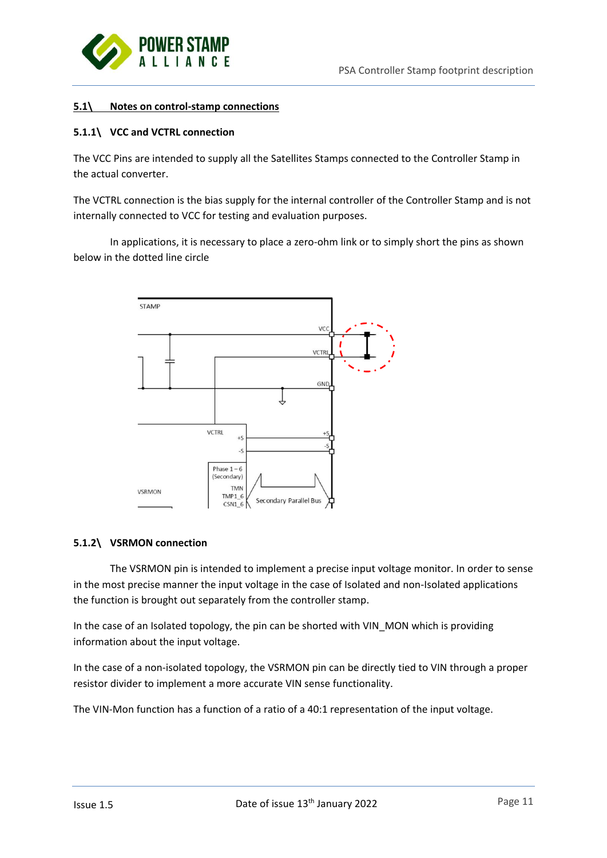

### **5.1\ Notes on control-stamp connections**

### **5.1.1\ VCC and VCTRL connection**

The VCC Pins are intended to supply all the Satellites Stamps connected to the Controller Stamp in the actual converter.

The VCTRL connection is the bias supply for the internal controller of the Controller Stamp and is not internally connected to VCC for testing and evaluation purposes.

In applications, it is necessary to place a zero-ohm link or to simply short the pins as shown below in the dotted line circle



### **5.1.2\ VSRMON connection**

The VSRMON pin is intended to implement a precise input voltage monitor. In order to sense in the most precise manner the input voltage in the case of Isolated and non-Isolated applications the function is brought out separately from the controller stamp.

In the case of an Isolated topology, the pin can be shorted with VIN\_MON which is providing information about the input voltage.

In the case of a non-isolated topology, the VSRMON pin can be directly tied to VIN through a proper resistor divider to implement a more accurate VIN sense functionality.

The VIN-Mon function has a function of a ratio of a 40:1 representation of the input voltage.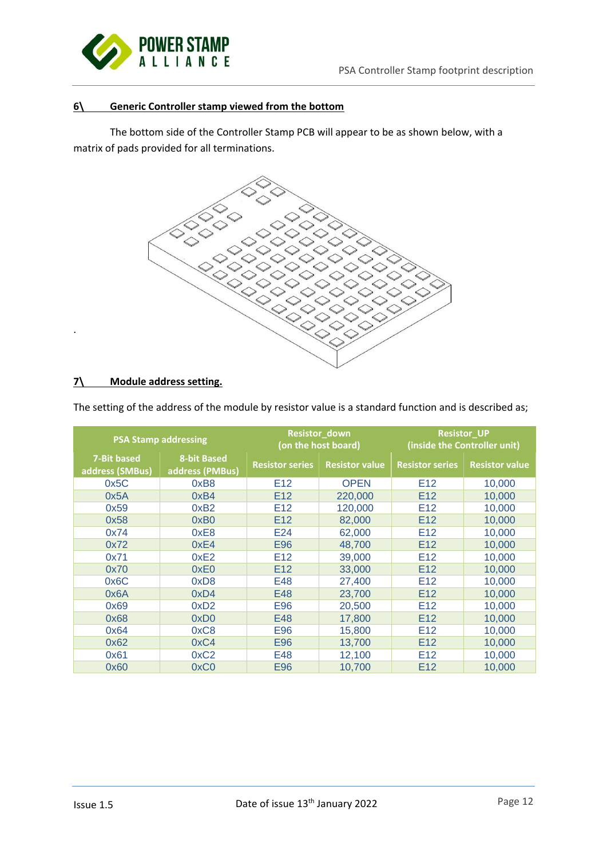

# **6\ Generic Controller stamp viewed from the bottom**

The bottom side of the Controller Stamp PCB will appear to be as shown below, with a matrix of pads provided for all terminations.



# **7\ Module address setting.**

.

|                                | <b>PSA Stamp addressing</b>           |                        | Resistor_down<br>(on the host board) | <b>Resistor_UP</b><br>(inside the Controller unit) |                       |  |
|--------------------------------|---------------------------------------|------------------------|--------------------------------------|----------------------------------------------------|-----------------------|--|
| 7-Bit based<br>address (SMBus) | <b>8-bit Based</b><br>address (PMBus) | <b>Resistor series</b> | <b>Resistor value</b>                | <b>Resistor series</b>                             | <b>Resistor value</b> |  |
| 0x5C                           | 0xB8                                  | E <sub>12</sub>        | <b>OPEN</b>                          | E <sub>12</sub>                                    | 10,000                |  |
| 0x5A                           | 0xB4                                  | E <sub>12</sub>        | 220,000                              | E <sub>12</sub>                                    | 10,000                |  |
| 0x59                           | 0xB2                                  | E <sub>12</sub>        | 120,000                              | E <sub>12</sub>                                    | 10,000                |  |
| 0x58                           | 0xB0                                  | E <sub>12</sub>        | 82,000                               | E <sub>12</sub>                                    | 10,000                |  |
| 0x74                           | 0xE8                                  | E24                    | 62,000                               | E <sub>12</sub>                                    | 10,000                |  |
| 0x72                           | 0xE4                                  | E96                    | 48,700                               | E <sub>12</sub>                                    | 10,000                |  |
| 0x71                           | 0xE2                                  | E <sub>12</sub>        | 39,000                               | E <sub>12</sub>                                    | 10,000                |  |
| 0x70                           | 0xE0                                  | E <sub>12</sub>        | 33,000                               | E <sub>12</sub>                                    | 10,000                |  |
| 0x6C                           | 0xD8                                  | E48                    | 27,400                               | E <sub>12</sub>                                    | 10,000                |  |
| 0x6A                           | 0xD4                                  | E48                    | 23,700                               | E12                                                | 10,000                |  |
| 0x69                           | 0xD2                                  | E96                    | 20,500                               | E <sub>12</sub>                                    | 10,000                |  |
| 0x68                           | 0xD0                                  | E48                    | 17,800                               | E <sub>12</sub>                                    | 10,000                |  |
| 0x64                           | 0xC8                                  | E96                    | 15,800                               | E <sub>12</sub>                                    | 10,000                |  |
| 0x62                           | 0xC4                                  | <b>E96</b>             | 13,700                               | E <sub>12</sub>                                    | 10,000                |  |
| 0x61                           | 0xC2                                  | E48                    | 12,100                               | E <sub>12</sub>                                    | 10,000                |  |
| 0x60                           | 0xC0                                  | E96                    | 10,700                               | E <sub>12</sub>                                    | 10,000                |  |

The setting of the address of the module by resistor value is a standard function and is described as;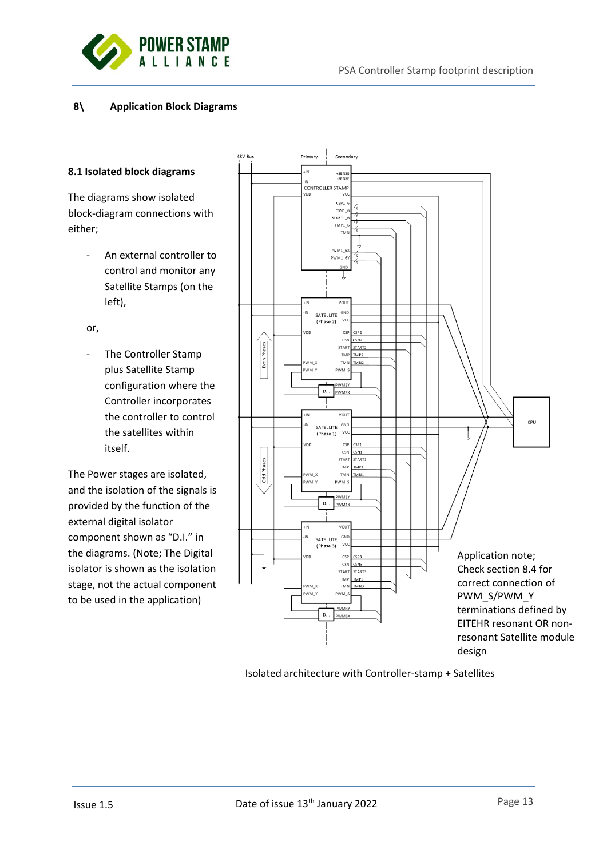

# **8\ Application Block Diagrams**

#### **8.1 Isolated block diagrams**

The diagrams show isolated block-diagram connections with either;

> - An external controller to control and monitor any Satellite Stamps (on the left),

or,

- The Controller Stamp plus Satellite Stamp configuration where the Controller incorporates the controller to control the satellites within itself.

The Power stages are isolated, and the isolation of the signals is provided by the function of the external digital isolator component shown as "D.I." in the diagrams. (Note; The Digital isolator is shown as the isolation stage, not the actual component to be used in the application)



Isolated architecture with Controller-stamp + Satellites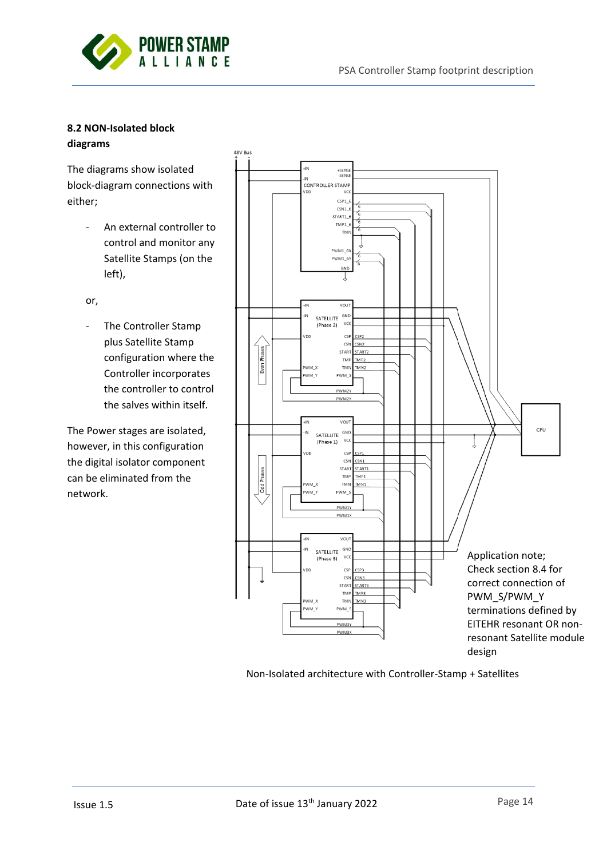

# **8.2 NON-Isolated block diagrams**

The diagrams show isolated block-diagram connections with either;

- An external controller to control and monitor any Satellite Stamps (on the left),
- or,
- The Controller Stamp plus Satellite Stamp configuration where the Controller incorporates the controller to control the salves within itself.

The Power stages are isolated, however, in this configuration the digital isolator component can be eliminated from the network.



Non-Isolated architecture with Controller-Stamp + Satellites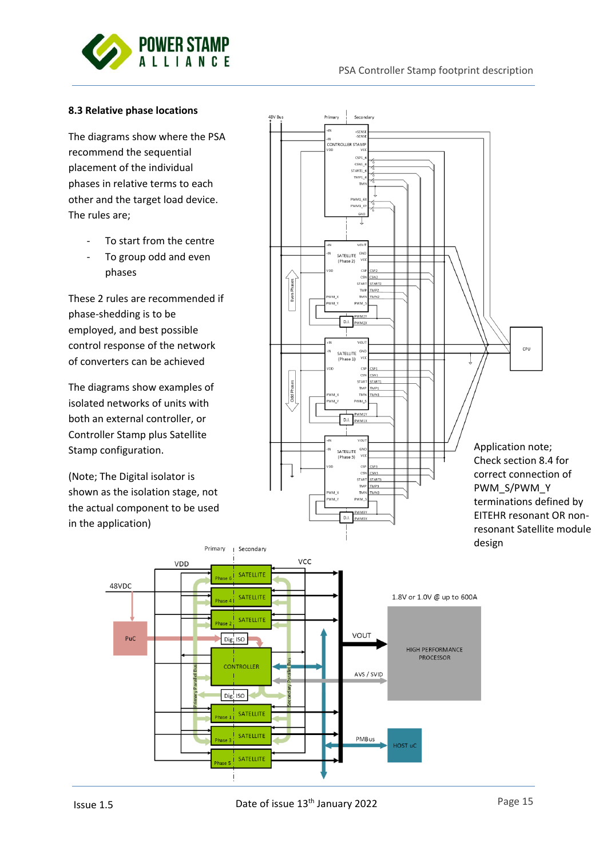

### **8.3 Relative phase locations**

The diagrams show where the PSA recommend the sequential placement of the individual phases in relative terms to each other and the target load device. The rules are;

- To start from the centre
- To group odd and even phases

These 2 rules are recommended if phase-shedding is to be employed, and best possible control response of the network of converters can be achieved

The diagrams show examples of isolated networks of units with both an external controller, or Controller Stamp plus Satellite Stamp configuration.

(Note; The Digital isolator is shown as the isolation stage, not the actual component to be used in the application)

> Primary  $\overline{1}$



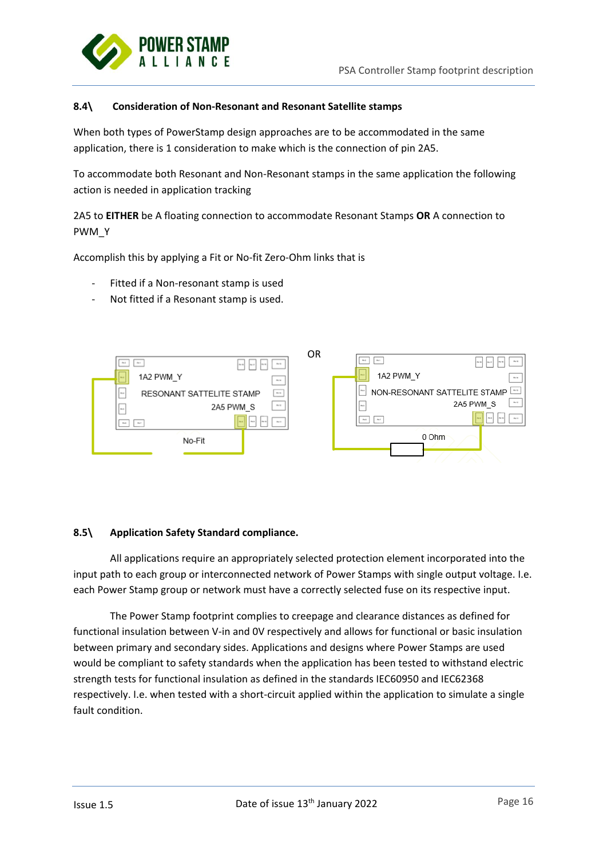

### **8.4\ Consideration of Non-Resonant and Resonant Satellite stamps**

When both types of PowerStamp design approaches are to be accommodated in the same application, there is 1 consideration to make which is the connection of pin 2A5.

To accommodate both Resonant and Non-Resonant stamps in the same application the following action is needed in application tracking

2A5 to **EITHER** be A floating connection to accommodate Resonant Stamps **OR** A connection to PWM\_Y

Accomplish this by applying a Fit or No-fit Zero-Ohm links that is

- Fitted if a Non-resonant stamp is used
- Not fitted if a Resonant stamp is used.



#### **8.5\ Application Safety Standard compliance.**

All applications require an appropriately selected protection element incorporated into the input path to each group or interconnected network of Power Stamps with single output voltage. I.e. each Power Stamp group or network must have a correctly selected fuse on its respective input.

The Power Stamp footprint complies to creepage and clearance distances as defined for functional insulation between V-in and 0V respectively and allows for functional or basic insulation between primary and secondary sides. Applications and designs where Power Stamps are used would be compliant to safety standards when the application has been tested to withstand electric strength tests for functional insulation as defined in the standards IEC60950 and IEC62368 respectively. I.e. when tested with a short-circuit applied within the application to simulate a single fault condition.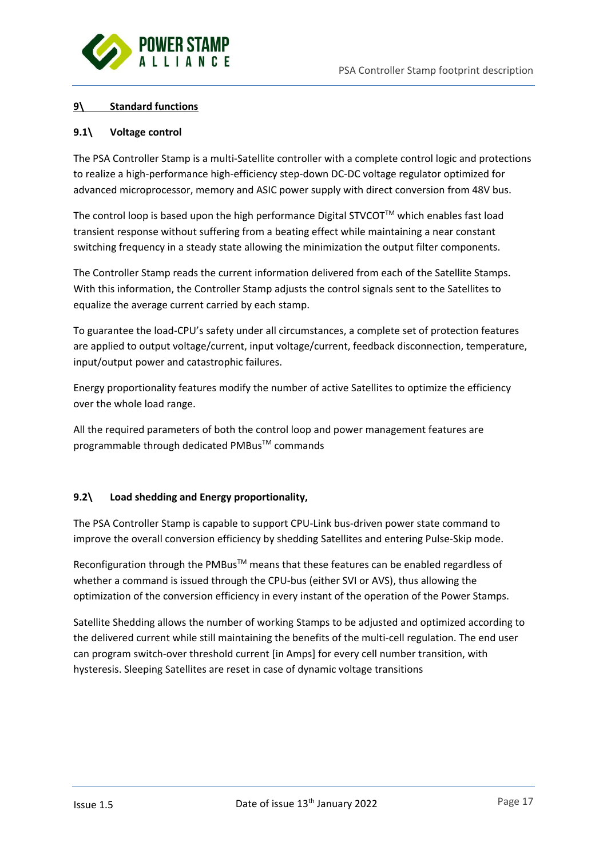

# **9\ Standard functions**

# **9.1\ Voltage control**

The PSA Controller Stamp is a multi-Satellite controller with a complete control logic and protections to realize a high-performance high-efficiency step-down DC-DC voltage regulator optimized for advanced microprocessor, memory and ASIC power supply with direct conversion from 48V bus.

The control loop is based upon the high performance Digital STVCOT<sup>TM</sup> which enables fast load transient response without suffering from a beating effect while maintaining a near constant switching frequency in a steady state allowing the minimization the output filter components.

The Controller Stamp reads the current information delivered from each of the Satellite Stamps. With this information, the Controller Stamp adjusts the control signals sent to the Satellites to equalize the average current carried by each stamp.

To guarantee the load-CPU's safety under all circumstances, a complete set of protection features are applied to output voltage/current, input voltage/current, feedback disconnection, temperature, input/output power and catastrophic failures.

Energy proportionality features modify the number of active Satellites to optimize the efficiency over the whole load range.

All the required parameters of both the control loop and power management features are programmable through dedicated PMBus™ commands

# **9.2\ Load shedding and Energy proportionality,**

The PSA Controller Stamp is capable to support CPU-Link bus-driven power state command to improve the overall conversion efficiency by shedding Satellites and entering Pulse-Skip mode.

Reconfiguration through the PMBus™ means that these features can be enabled regardless of whether a command is issued through the CPU-bus (either SVI or AVS), thus allowing the optimization of the conversion efficiency in every instant of the operation of the Power Stamps.

Satellite Shedding allows the number of working Stamps to be adjusted and optimized according to the delivered current while still maintaining the benefits of the multi-cell regulation. The end user can program switch-over threshold current [in Amps] for every cell number transition, with hysteresis. Sleeping Satellites are reset in case of dynamic voltage transitions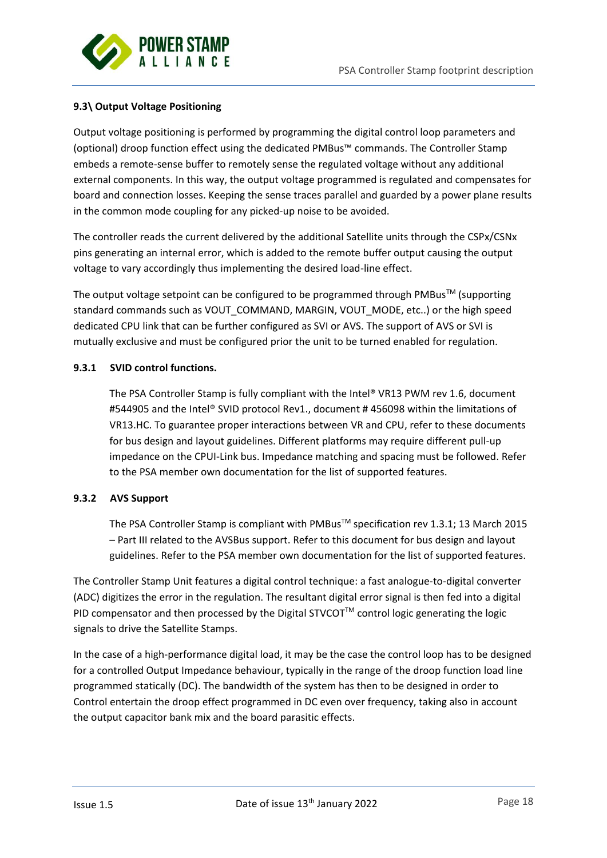

# **9.3\ Output Voltage Positioning**

Output voltage positioning is performed by programming the digital control loop parameters and (optional) droop function effect using the dedicated PMBus™ commands. The Controller Stamp embeds a remote-sense buffer to remotely sense the regulated voltage without any additional external components. In this way, the output voltage programmed is regulated and compensates for board and connection losses. Keeping the sense traces parallel and guarded by a power plane results in the common mode coupling for any picked-up noise to be avoided.

The controller reads the current delivered by the additional Satellite units through the CSPx/CSNx pins generating an internal error, which is added to the remote buffer output causing the output voltage to vary accordingly thus implementing the desired load-line effect.

The output voltage setpoint can be configured to be programmed through PMBus<sup>TM</sup> (supporting standard commands such as VOUT\_COMMAND, MARGIN, VOUT\_MODE, etc..) or the high speed dedicated CPU link that can be further configured as SVI or AVS. The support of AVS or SVI is mutually exclusive and must be configured prior the unit to be turned enabled for regulation.

### **9.3.1 SVID control functions.**

The PSA Controller Stamp is fully compliant with the Intel® VR13 PWM rev 1.6, document #544905 and the Intel® SVID protocol Rev1., document # 456098 within the limitations of VR13.HC. To guarantee proper interactions between VR and CPU, refer to these documents for bus design and layout guidelines. Different platforms may require different pull-up impedance on the CPUI-Link bus. Impedance matching and spacing must be followed. Refer to the PSA member own documentation for the list of supported features.

### **9.3.2 AVS Support**

The PSA Controller Stamp is compliant with PMBus™ specification rev 1.3.1; 13 March 2015 – Part III related to the AVSBus support. Refer to this document for bus design and layout guidelines. Refer to the PSA member own documentation for the list of supported features.

The Controller Stamp Unit features a digital control technique: a fast analogue-to-digital converter (ADC) digitizes the error in the regulation. The resultant digital error signal is then fed into a digital PID compensator and then processed by the Digital STVCOT<sup>TM</sup> control logic generating the logic signals to drive the Satellite Stamps.

In the case of a high-performance digital load, it may be the case the control loop has to be designed for a controlled Output Impedance behaviour, typically in the range of the droop function load line programmed statically (DC). The bandwidth of the system has then to be designed in order to Control entertain the droop effect programmed in DC even over frequency, taking also in account the output capacitor bank mix and the board parasitic effects.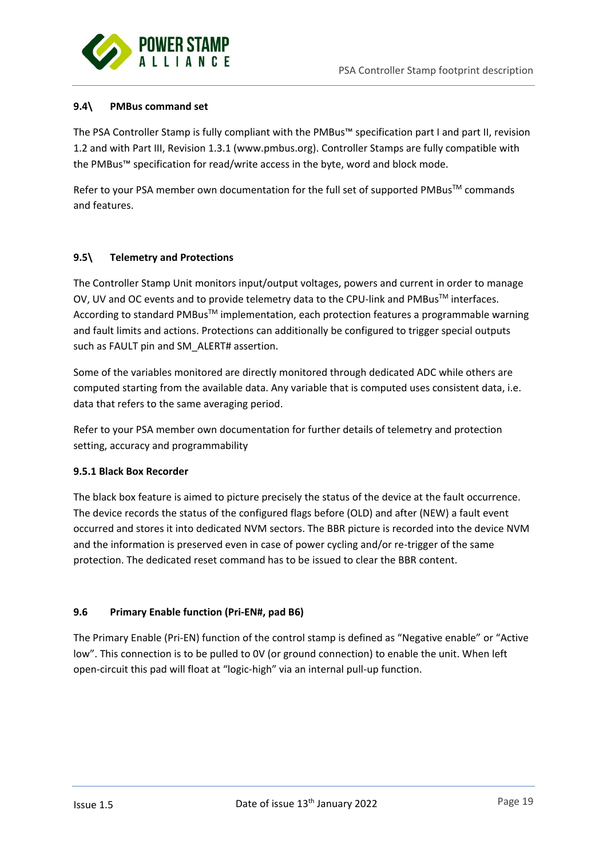

# **9.4\ PMBus command set**

The PSA Controller Stamp is fully compliant with the PMBus™ specification part I and part II, revision 1.2 and with Part III, Revision 1.3.1 (www.pmbus.org). Controller Stamps are fully compatible with the PMBus™ specification for read/write access in the byte, word and block mode.

Refer to your PSA member own documentation for the full set of supported PMBus™ commands and features.

### **9.5\ Telemetry and Protections**

The Controller Stamp Unit monitors input/output voltages, powers and current in order to manage OV, UV and OC events and to provide telemetry data to the CPU-link and PMBus™ interfaces. According to standard PMBus<sup>™</sup> implementation, each protection features a programmable warning and fault limits and actions. Protections can additionally be configured to trigger special outputs such as FAULT pin and SM\_ALERT# assertion.

Some of the variables monitored are directly monitored through dedicated ADC while others are computed starting from the available data. Any variable that is computed uses consistent data, i.e. data that refers to the same averaging period.

Refer to your PSA member own documentation for further details of telemetry and protection setting, accuracy and programmability

### **9.5.1 Black Box Recorder**

The black box feature is aimed to picture precisely the status of the device at the fault occurrence. The device records the status of the configured flags before (OLD) and after (NEW) a fault event occurred and stores it into dedicated NVM sectors. The BBR picture is recorded into the device NVM and the information is preserved even in case of power cycling and/or re-trigger of the same protection. The dedicated reset command has to be issued to clear the BBR content.

# **9.6 Primary Enable function (Pri-EN#, pad B6)**

The Primary Enable (Pri-EN) function of the control stamp is defined as "Negative enable" or "Active low". This connection is to be pulled to 0V (or ground connection) to enable the unit. When left open-circuit this pad will float at "logic-high" via an internal pull-up function.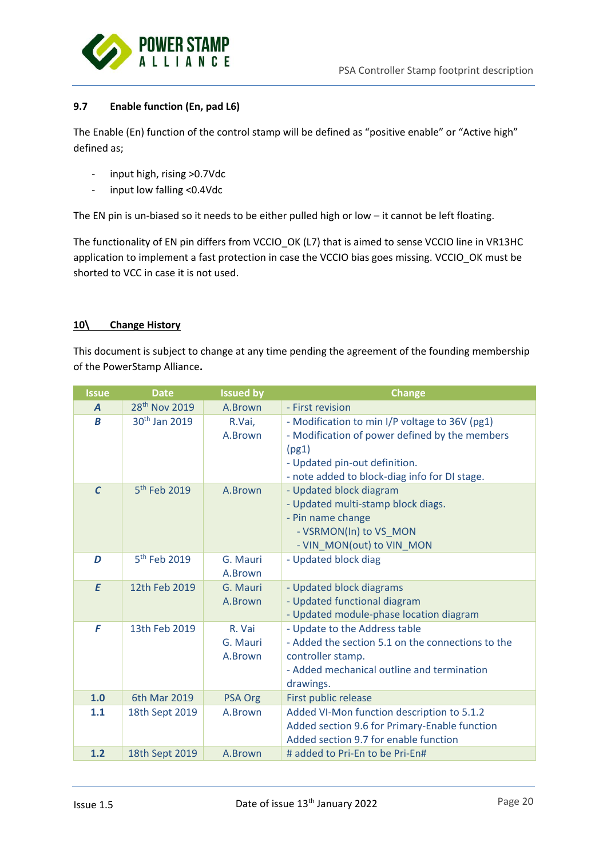

# **9.7 Enable function (En, pad L6)**

The Enable (En) function of the control stamp will be defined as "positive enable" or "Active high" defined as;

- input high, rising >0.7Vdc
- input low falling <0.4Vdc

The EN pin is un-biased so it needs to be either pulled high or low – it cannot be left floating.

The functionality of EN pin differs from VCCIO OK (L7) that is aimed to sense VCCIO line in VR13HC application to implement a fast protection in case the VCCIO bias goes missing. VCCIO\_OK must be shorted to VCC in case it is not used.

# **10\ Change History**

This document is subject to change at any time pending the agreement of the founding membership of the PowerStamp Alliance**.**

| <b>Issue</b>     | <b>Date</b>               | <b>Issued by</b>              | <b>Change</b>                                                                                                                                                                               |
|------------------|---------------------------|-------------------------------|---------------------------------------------------------------------------------------------------------------------------------------------------------------------------------------------|
| $\boldsymbol{A}$ | 28 <sup>th</sup> Nov 2019 | A.Brown                       | - First revision                                                                                                                                                                            |
| B                | 30 <sup>th</sup> Jan 2019 | R.Vai,<br>A.Brown             | - Modification to min I/P voltage to 36V (pg1)<br>- Modification of power defined by the members<br>(pg1)<br>- Updated pin-out definition.<br>- note added to block-diag info for DI stage. |
| $\mathcal{C}$    | 5 <sup>th</sup> Feb 2019  | A.Brown                       | - Updated block diagram<br>- Updated multi-stamp block diags.<br>- Pin name change<br>- VSRMON(In) to VS_MON<br>- VIN_MON(out) to VIN_MON                                                   |
| D                | 5 <sup>th</sup> Feb 2019  | G. Mauri<br>A.Brown           | - Updated block diag                                                                                                                                                                        |
| E                | 12th Feb 2019             | G. Mauri<br>A.Brown           | - Updated block diagrams<br>- Updated functional diagram<br>- Updated module-phase location diagram                                                                                         |
| F                | 13th Feb 2019             | R. Vai<br>G. Mauri<br>A.Brown | - Update to the Address table<br>- Added the section 5.1 on the connections to the<br>controller stamp.<br>- Added mechanical outline and termination<br>drawings.                          |
| 1.0              | 6th Mar 2019              | <b>PSA Org</b>                | First public release                                                                                                                                                                        |
| 1.1              | 18th Sept 2019            | A.Brown                       | Added VI-Mon function description to 5.1.2<br>Added section 9.6 for Primary-Enable function<br>Added section 9.7 for enable function                                                        |
| 1.2              | 18th Sept 2019            | A.Brown                       | # added to Pri-En to be Pri-En#                                                                                                                                                             |